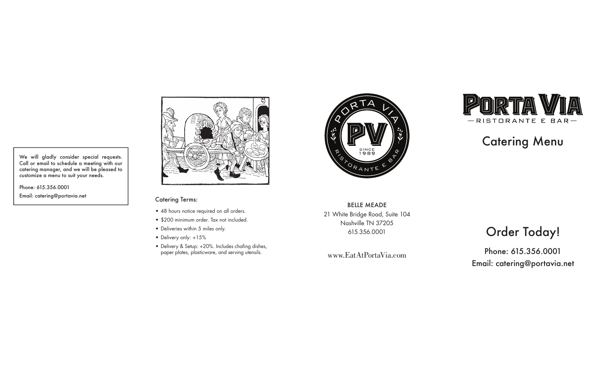We will gladly consider special requests. Call or email to schedule a meeting with our catering manager, and we will be pleased to customize a menu to suit your needs.

Phone: 615.356.0001 Email: catering@portavia.net



#### Catering Terms:

- 48 hours notice required on all orders.
- \$200 minimum order. Tax not included.
- Deliveries within 5 miles only.
- Delivery only: +15%
- Delivery & Setup: +20%. Includes chafing dishes, paper plates, plasticware, and serving utensils.



BELLE MEADE 21 White Bridge Road, Suite 104 Nashville TN 37205 615.356.0001

www.EatAtPortaVia.com



# Catering Menu

# Order Today!

Phone: 615.356.0001 Email: catering@portavia.net